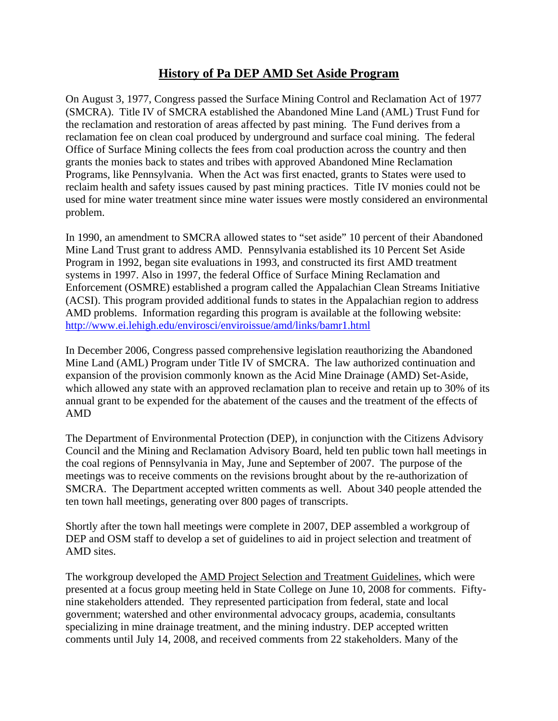## **History of Pa DEP AMD Set Aside Program**

On August 3, 1977, Congress passed the Surface Mining Control and Reclamation Act of 1977 (SMCRA). Title IV of SMCRA established the Abandoned Mine Land (AML) Trust Fund for the reclamation and restoration of areas affected by past mining. The Fund derives from a reclamation fee on clean coal produced by underground and surface coal mining. The federal Office of Surface Mining collects the fees from coal production across the country and then grants the monies back to states and tribes with approved Abandoned Mine Reclamation Programs, like Pennsylvania. When the Act was first enacted, grants to States were used to reclaim health and safety issues caused by past mining practices. Title IV monies could not be used for mine water treatment since mine water issues were mostly considered an environmental problem.

In 1990, an amendment to SMCRA allowed states to "set aside" 10 percent of their Abandoned Mine Land Trust grant to address AMD. Pennsylvania established its 10 Percent Set Aside Program in 1992, began site evaluations in 1993, and constructed its first AMD treatment systems in 1997. Also in 1997, the federal Office of Surface Mining Reclamation and Enforcement (OSMRE) established a program called the Appalachian Clean Streams Initiative (ACSI). This program provided additional funds to states in the Appalachian region to address AMD problems. Information regarding this program is available at the following website: http://www.ei.lehigh.edu/envirosci/enviroissue/amd/links/bamr1.html

In December 2006, Congress passed comprehensive legislation reauthorizing the Abandoned Mine Land (AML) Program under Title IV of SMCRA. The law authorized continuation and expansion of the provision commonly known as the Acid Mine Drainage (AMD) Set-Aside, which allowed any state with an approved reclamation plan to receive and retain up to 30% of its annual grant to be expended for the abatement of the causes and the treatment of the effects of AMD

The Department of Environmental Protection (DEP), in conjunction with the Citizens Advisory Council and the Mining and Reclamation Advisory Board, held ten public town hall meetings in the coal regions of Pennsylvania in May, June and September of 2007. The purpose of the meetings was to receive comments on the revisions brought about by the re-authorization of SMCRA. The Department accepted written comments as well. About 340 people attended the ten town hall meetings, generating over 800 pages of transcripts.

Shortly after the town hall meetings were complete in 2007, DEP assembled a workgroup of DEP and OSM staff to develop a set of guidelines to aid in project selection and treatment of AMD sites.

The workgroup developed the AMD Project Selection and Treatment Guidelines, which were presented at a focus group meeting held in State College on June 10, 2008 for comments. Fiftynine stakeholders attended. They represented participation from federal, state and local government; watershed and other environmental advocacy groups, academia, consultants specializing in mine drainage treatment, and the mining industry. DEP accepted written comments until July 14, 2008, and received comments from 22 stakeholders. Many of the